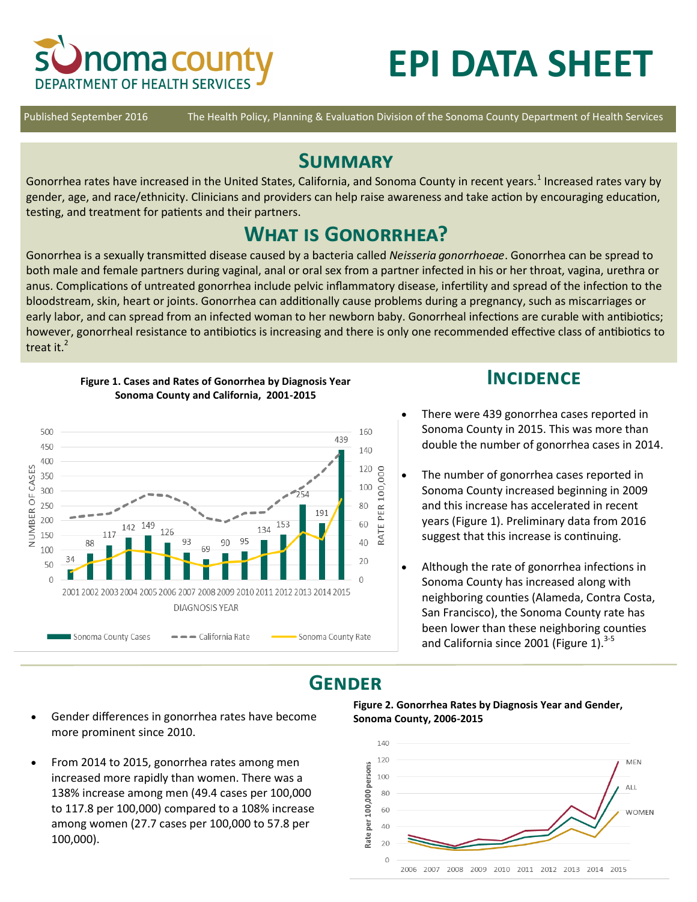

# **EPI DATA SHEET**

Published September 2016 The Health Policy, Planning & Evaluation Division of the Sonoma County Department of Health Services

## **Summary**

Gonorrhea rates have increased in the United States, California, and Sonoma County in recent years.<sup>1</sup> Increased rates vary by gender, age, and race/ethnicity. Clinicians and providers can help raise awareness and take action by encouraging education, testing, and treatment for patients and their partners.

## **What is Gonorrhea?**

Gonorrhea is a sexually transmitted disease caused by a bacteria called *Neisseria gonorrhoeae*. Gonorrhea can be spread to both male and female partners during vaginal, anal or oral sex from a partner infected in his or her throat, vagina, urethra or anus. Complications of untreated gonorrhea include pelvic inflammatory disease, infertility and spread of the infection to the bloodstream, skin, heart or joints. Gonorrhea can additionally cause problems during a pregnancy, such as miscarriages or early labor, and can spread from an infected woman to her newborn baby. Gonorrheal infections are curable with antibiotics; however, gonorrheal resistance to antibiotics is increasing and there is only one recommended effective class of antibiotics to treat it.<sup>2</sup>



**Figure 1. Cases and Rates of Gonorrhea by Diagnosis Year Sonoma County and California, 2001-2015**

### **INCIDENCE**

- There were 439 gonorrhea cases reported in Sonoma County in 2015. This was more than double the number of gonorrhea cases in 2014.
- The number of gonorrhea cases reported in Sonoma County increased beginning in 2009 and this increase has accelerated in recent years (Figure 1). Preliminary data from 2016 suggest that this increase is continuing.
- Although the rate of gonorrhea infections in Sonoma County has increased along with neighboring counties (Alameda, Contra Costa, San Francisco), the Sonoma County rate has been lower than these neighboring counties and California since 2001 (Figure 1). $3-5$

## **Gender**

- Gender differences in gonorrhea rates have become more prominent since 2010.
- From 2014 to 2015, gonorrhea rates among men increased more rapidly than women. There was a 138% increase among men (49.4 cases per 100,000 to 117.8 per 100,000) compared to a 108% increase among women (27.7 cases per 100,000 to 57.8 per 100,000).